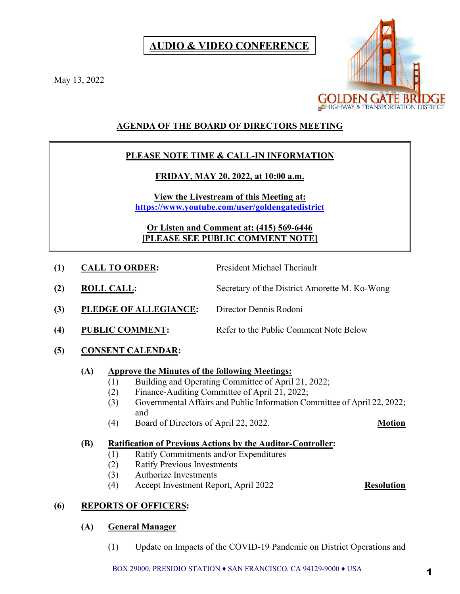# **AUDIO & VIDEO CONFERENCE**

May 13, 2022



# **AGENDA OF THE BOARD OF DIRECTORS MEETING**

# **PLEASE NOTE TIME & CALL-IN INFORMATION**

# **FRIDAY, MAY 20, 2022, at 10:00 a.m.**

**View the Livestream of this Meeting at: <https://www.youtube.com/user/goldengatedistrict>**

**Or Listen and Comment at: (415) 569-6446 [PLEASE SEE PUBLIC COMMENT NOTE]**

- **(1) CALL TO ORDER:** President Michael Theriault
- **(2) ROLL CALL:** Secretary of the District Amorette M. Ko-Wong
- **(3) PLEDGE OF ALLEGIANCE:** Director Dennis Rodoni
- (4) PUBLIC COMMENT: Refer to the Public Comment Note Below
- **(5) CONSENT CALENDAR:**

# **(A) Approve the Minutes of the following Meetings:**

- (1) Building and Operating Committee of April 21, 2022;
- (2) Finance-Auditing Committee of April 21, 2022;
- (3) Governmental Affairs and Public Information Committee of April 22, 2022; and
- (4) Board of Directors of April 22, 2022. **Motion**

# **(B) Ratification of Previous Actions by the Auditor-Controller:**

- (1) Ratify Commitments and/or Expenditures
- (2) Ratify Previous Investments
- (3) Authorize Investments
- (4) Accept Investment Report, April 2022 **Resolution**

# **(6) REPORTS OF OFFICERS:**

# **(A) General Manager**

(1) Update on Impacts of the COVID-19 Pandemic on District Operations and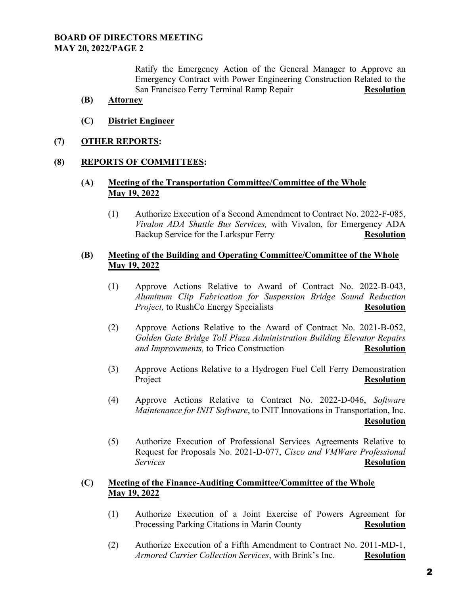Ratify the Emergency Action of the General Manager to Approve an Emergency Contract with Power Engineering Construction Related to the San Francisco Ferry Terminal Ramp Repair **Resolution** 

- **(B) Attorney**
- **(C) District Engineer**
- **(7) OTHER REPORTS:**

#### **(8) REPORTS OF COMMITTEES:**

### **(A) Meeting of the Transportation Committee/Committee of the Whole May 19, 2022**

(1) Authorize Execution of a Second Amendment to Contract No. 2022-F-085, *Vivalon ADA Shuttle Bus Services,* with Vivalon, for Emergency ADA Backup Service for the Larkspur Ferry **Resolution** 

#### **(B) Meeting of the Building and Operating Committee/Committee of the Whole May 19, 2022**

- (1) Approve Actions Relative to Award of Contract No. 2022-B-043, *Aluminum Clip Fabrication for Suspension Bridge Sound Reduction Project,* to RushCo Energy Specialists **Resolution**
- (2) Approve Actions Relative to the Award of Contract No. 2021-B-052, *Golden Gate Bridge Toll Plaza Administration Building Elevator Repairs and Improvements,* to Trico Construction **Resolution**
- (3) Approve Actions Relative to a Hydrogen Fuel Cell Ferry Demonstration Project Resolution
- (4) Approve Actions Relative to Contract No. 2022-D-046, *Software Maintenance for INIT Software*, to INIT Innovations in Transportation, Inc. **Resolution**
- (5) Authorize Execution of Professional Services Agreements Relative to Request for Proposals No. 2021-D-077, *Cisco and VMWare Professional Services* **Resolution**

### **(C) Meeting of the Finance-Auditing Committee/Committee of the Whole May 19, 2022**

- (1) Authorize Execution of a Joint Exercise of Powers Agreement for Processing Parking Citations in Marin County **Resolution**
- (2) Authorize Execution of a Fifth Amendment to Contract No. 2011-MD-1, *Armored Carrier Collection Services*, with Brink's Inc. **Resolution**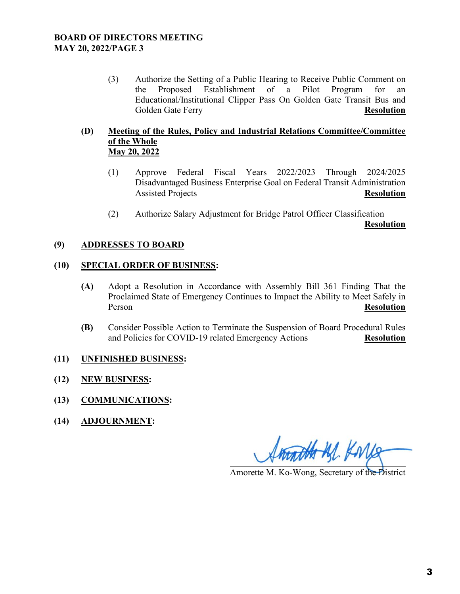(3) Authorize the Setting of a Public Hearing to Receive Public Comment on the Proposed Establishment of a Pilot Program for an Educational/Institutional Clipper Pass On Golden Gate Transit Bus and Golden Gate Ferry **Resolution** 

### **(D) Meeting of the Rules, Policy and Industrial Relations Committee/Committee of the Whole May 20, 2022**

- (1) Approve Federal Fiscal Years 2022/2023 Through 2024/2025 Disadvantaged Business Enterprise Goal on Federal Transit Administration Assisted Projects **Resolution**
- (2) Authorize Salary Adjustment for Bridge Patrol Officer Classification

**Resolution**

### **(9) ADDRESSES TO BOARD**

#### **(10) SPECIAL ORDER OF BUSINESS:**

- **(A)** Adopt a Resolution in Accordance with Assembly Bill 361 Finding That the Proclaimed State of Emergency Continues to Impact the Ability to Meet Safely in Person **Resolution**
- **(B)** Consider Possible Action to Terminate the Suspension of Board Procedural Rules and Policies for COVID-19 related Emergency Actions **Resolution**

### **(11) UNFINISHED BUSINESS:**

- **(12) NEW BUSINESS:**
- **(13) COMMUNICATIONS:**
- **(14) ADJOURNMENT:**

matthe M. Korle

Amorette M. Ko-Wong, Secretary of the District